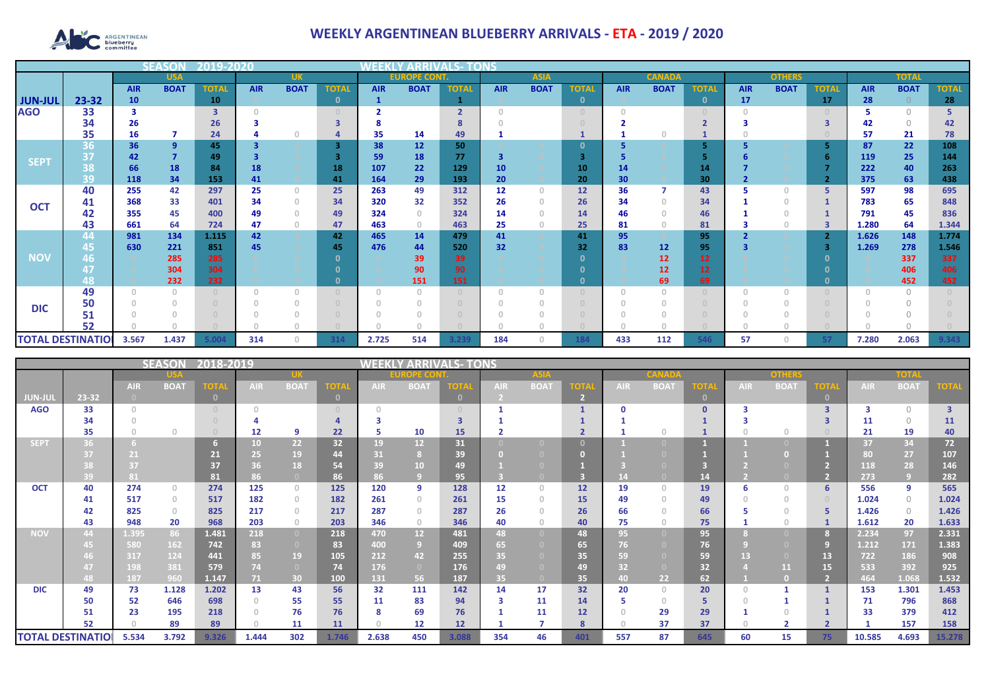

## **WEEKLY ARGENTINEAN BLUEBERRY ARRIVALS - ETA - 2019 / 2020**

|                              |                          |            | 5 F A 9                               | 2019-2020                        |            |              |                              |            |                |                |            |             |               |            |              |              |            |             |              |            |             |              |
|------------------------------|--------------------------|------------|---------------------------------------|----------------------------------|------------|--------------|------------------------------|------------|----------------|----------------|------------|-------------|---------------|------------|--------------|--------------|------------|-------------|--------------|------------|-------------|--------------|
| <b>USA</b>                   |                          |            |                                       | <b>UK</b><br><b>EUROPE CONT.</b> |            |              | <b>ASIA</b><br><b>CANADA</b> |            |                |                |            |             | <b>OTHERS</b> |            | <b>TOTAL</b> |              |            |             |              |            |             |              |
| <b>JUN-JUL</b><br><b>AGO</b> |                          | <b>AIR</b> | <b>BOAT</b>                           | <b>TOTAL</b>                     | <b>AIR</b> | <b>BOAT</b>  | <b>TOTA</b>                  | <b>AIR</b> | <b>BOAT</b>    | <b>TOTAL</b>   | <b>AIR</b> | <b>BOAT</b> | <b>TOTAL</b>  | <b>AIR</b> | <b>BOAT</b>  | <b>TOTAI</b> | <b>AIR</b> | <b>BOAT</b> | <b>TOTAL</b> | <b>AIR</b> | <b>BOAT</b> | <b>TOTAL</b> |
|                              | 23-32                    | 10         |                                       | 10                               |            |              | $\mathbf{0}$                 |            |                |                |            |             | $\mathbf 0$   |            |              | $\mathbf{0}$ | 17         |             | 17           | 28         | $\Omega$    | 28           |
|                              | 33                       |            |                                       | з                                |            |              |                              |            |                | $\overline{2}$ |            |             |               |            |              |              |            |             |              |            |             |              |
|                              | 34                       | 26         |                                       | 26                               |            |              |                              |            |                |                |            |             |               |            |              |              |            |             |              | 42         | $\cap$      | 42           |
|                              | 35                       | 16         |                                       | 24                               |            |              |                              | 35         | 14             | 49             |            |             |               |            |              |              |            |             |              | 57         | 21          | 78           |
|                              | 36                       | 36         | $\overline{9}$                        | 45                               |            |              | $\overline{3}$               | 38         | 12             | 50             |            |             | O             |            |              |              |            |             |              | 87         | 22          | 108          |
| <b>SEPT</b>                  | 37                       | 42         | $\overline{7}$                        | 49                               |            |              |                              | 59         | 18             | 77             | 3          |             | 3             |            |              |              |            |             |              | 119        | 25          | 144          |
|                              | 38                       | 66         | 18                                    | 84                               | 18         |              | 18                           | 107        | 22             | 129            | 10         |             | 10            | 14         |              | 14           |            |             |              | 222        | 40          | 263          |
|                              | 39                       | 118        | 34                                    | 153                              | 41         |              | 41                           | 164        | 29             | 193            | 20         |             | 20            | 30         |              | 30           |            |             |              | 375        | 63          | 438          |
|                              | 40                       | 255        | 42                                    | 297                              | 25         | $\mathbf{0}$ | 25                           | 263        | 49             | 312            | 12         | $\Omega$    | 12            | 36         |              | 43           | 5          | $\Omega$    | 5            | 597        | 98          | 695          |
| <b>OCT</b>                   | 41                       | 368        | 33                                    | 401                              | 34         | $\mathbf{0}$ | 34                           | 320        | 32             | 352            | 26         | $\Omega$    | 26            | 34         |              | 34           |            | $\Omega$    |              | 783        | 65          | 848          |
|                              | 42                       | 355        | 45                                    | 400                              | 49         | $\Omega$     | 49                           | 324        | $\Omega$       | 324            | 14         |             | 14            | 46         |              | 46           |            | $\Omega$    |              | 791        | 45          | 836          |
|                              | 43                       | 661        | 64                                    | 724                              | 47         | $\circ$      | 47                           | 463        | $\overline{0}$ | 463            | 25         | $\Omega$    | 25            | 81         |              | 81           |            | 0           | 3            | 1.280      | 64          | 1.344        |
|                              | 44                       | 981        | 134                                   | 1.115                            | 42         |              | 42                           | 465        | 14             | 479            | 41         |             | 41            | 95         |              | 95           |            |             |              | 1.626      | 148         | 1.774        |
|                              | 45                       | 630        | 221                                   | 851                              | 45         |              | 45                           | 476        | 44             | 520            | 32         |             | 32            | 83         | 12           | 95           |            |             | 3            | 1.269      | 278         | 1.546        |
| <b>NOV</b>                   | 46                       |            | 285                                   | 285                              |            |              |                              |            | 39             | 39             |            |             | n             |            | 12           | 12           |            |             |              |            | 337         | 337          |
|                              |                          |            | 304                                   | 304                              |            |              |                              |            | 90             | 90             |            |             |               |            | 12           | 12           |            |             |              |            | 406         | 406          |
|                              | 48                       |            | 232                                   | 232                              |            |              |                              |            | 151            | 151            |            |             | $\Omega$      |            | 69           | 69           |            |             |              |            | 452         | 452          |
|                              | 49                       |            | $\begin{array}{c} 0 \\ 0 \end{array}$ |                                  |            | $\Omega$     |                              | $\Omega$   | $\bigcap$      |                | $\cap$     |             |               |            |              |              |            | $\Omega$    |              |            | $\cap$      |              |
| <b>DIC</b>                   | 50                       |            |                                       |                                  |            |              |                              |            |                |                |            |             |               |            |              |              |            |             |              |            |             |              |
|                              | 51                       |            |                                       |                                  |            |              |                              |            |                |                |            |             |               |            |              |              |            |             |              |            |             |              |
|                              | 52                       |            |                                       |                                  |            |              |                              |            |                |                |            |             |               |            |              |              |            |             |              |            |             |              |
|                              | <b>TOTAL DESTINATIOI</b> | 3.567      | 1.437                                 | 5.00 <sub>6</sub>                | 314        | $\Omega$     | 314                          | 2.725      | 514            | 3.239          | 184        | $\Omega$    | 184           | 433        | 112          | 546          | 57         | $\Omega$    |              | 7.280      | 2.063       | 9.343        |

|                |                          |            | SEASON       | 2018-2019   |            |                |                                  | WEEKI       | ' ARRIVAI       | LS- TONS |            |                                  |         |            |             |              |            |             |                         |            |             |                         |
|----------------|--------------------------|------------|--------------|-------------|------------|----------------|----------------------------------|-------------|-----------------|----------|------------|----------------------------------|---------|------------|-------------|--------------|------------|-------------|-------------------------|------------|-------------|-------------------------|
|                |                          |            |              |             |            |                |                                  |             | <b>OPE CO</b>   |          |            |                                  |         |            |             |              |            | onhar       |                         |            | TOIF        |                         |
|                |                          | <b>AIR</b> | <b>BOAT</b>  | <b>TOTA</b> | <b>AIR</b> | <b>BOAT</b>    | OT                               | <b>AIR</b>  | <b>BOAT</b>     |          | <b>AIR</b> | <b>BOA1</b>                      |         | <b>AIR</b> | <b>BOAT</b> | <b>TOTA</b>  | <b>AIR</b> | <b>BOAT</b> | <b>OTA</b>              | <b>AIR</b> | <b>BOAT</b> | <b>OTA</b>              |
| <b>JUN-JUL</b> | 23-32                    | $\Box$     |              |             |            |                | $\mathbf{0}$                     |             |                 | $\Omega$ |            |                                  |         |            |             | $\mathbf{0}$ |            |             |                         |            |             |                         |
| <b>AGO</b>     | 33                       | $\cap$     |              |             |            |                | $\begin{array}{c} \n\end{array}$ |             |                 |          |            |                                  |         |            |             | $\Omega$     |            |             | $\overline{\mathbf{3}}$ |            | $\bigcirc$  | $\overline{\mathbf{3}}$ |
|                | 34                       |            |              |             |            |                |                                  |             |                 |          |            |                                  |         |            |             |              |            |             |                         | 11         | $\Omega$    | <b>11</b>               |
|                | 35                       |            | $\cap$       |             | 12         | -9             | 22                               | 5           | 10              | 15       |            |                                  |         |            |             |              |            | $\Omega$    |                         | 21         | 19          | 40                      |
| <b>SEPT</b>    | 36                       |            |              |             | 10         | 22             | 32                               | 19          | 12 <sup>2</sup> | 31       |            |                                  |         |            |             |              |            |             |                         | 37         | 34          | 72                      |
|                |                          | 21         |              | 21          | 25         | 19             | 44                               | 31          |                 | 39       |            |                                  |         |            |             |              |            |             |                         | 80         | 27          | 107                     |
|                |                          | 37         |              | 37          | 36         | 18             | 54                               | 39          | 10 <sup>°</sup> | 49       |            |                                  |         |            |             |              |            |             |                         | 118        | 28          | 146                     |
|                | 39                       | 81         |              | 81          | 86         |                | 86                               | 86          |                 | 95       |            |                                  |         |            |             | 14           |            |             |                         | 273        | 9           | 282                     |
| <b>OCT</b>     | 40                       | 274        | $\Omega$     | 274         | 125        | $\circ$        | 125                              | 120         | 9               | 128      | 12         | $\begin{array}{c} \n\end{array}$ | 12      | 19         | $\bigcap$   | 19           | ь          | $\Omega$    | 6                       | 556        | 9           | 565                     |
|                | 41                       | 517        | $\mathbf{0}$ | 517         | 182        | $\circ$        | 182                              | 261         | $\Omega$        | 261      | 15         | $\Omega$                         | 15      | 49         | $\Omega$    | 49           |            | $\Omega$    | $\Box$                  | 1.024      | $\Omega$    | 1.024                   |
|                | 42                       | 825        | $\Omega$     | 825         | 217        | $\circ$        | 217                              | 287         |                 | 287      | 26         |                                  | 26      | 66         |             | 66           |            |             |                         | 1.426      | $\circ$     | 1.426                   |
|                | 43                       | 948        | 20           | 968         | 203        | $\circ$        | 203                              | 346         | $\circ$         | 346      | 40         | $\Omega$                         | 40      | 75         |             | 75           |            | $\Omega$    |                         | 1.612      | 20          | 1.633                   |
| <b>NOV</b>     | 44                       | 1.395      | 86           | 1.481       | 218        | $\overline{0}$ | 218                              | 470         | 12 <sup>2</sup> | 481      | 48         | n                                | 48      | 95         |             | 95           |            |             | 8                       | 2.234      | 97          | 2.331                   |
|                |                          | 580        | 162          | 742         | 83         | $\overline{0}$ | 83                               | 400         | 9 <sup>1</sup>  | 409      | 65         |                                  | 65      | 76         |             | 76           |            |             |                         | 1.212      | 171         | 1.383                   |
|                |                          | 317        | 124          | 441         | 85         | 19             | 105                              | 212         | 42              | 255      | 35         |                                  | 35      | 59         |             | 59           | 13         |             | 13                      | 722        | 186         | 908                     |
|                |                          | 198        | 381          | 579         | 74         | $\overline{0}$ | 74                               | 176         | $\overline{0}$  | 176      | 49         |                                  | 49      | 32         |             | 32           |            | 11          | 15                      | 533        | 392         | 925                     |
|                | 48                       | 187        | 960          | 1.147       | 71         | 30             | 100                              | 131         | 56              | 187      | 35         |                                  | 35      | 40.        | 22          | 62           |            | $\Box$      |                         | 464        | 1.068       | 1.532                   |
| <b>DIC</b>     | 49                       | 73         | 1.128        | 1.202       | 13         | 43             | 56                               | 32          | 111             | 142      | 14         | 17                               | 32      | 20         | $\Omega$    | 20           |            |             |                         | 153        | 1.301       | 1.453                   |
|                | 50                       | 52         | 646          | 698         |            | 55             | 55                               | 11          | 83              | 94       | 3          | 11                               | 14      |            | $\Omega$    | 5            |            |             |                         | 71         | 796         | 868                     |
|                | 51<br>52                 | 23         | 195          | 218<br>89   |            | 76             | 76<br>11                         | 8<br>$\cap$ | 69<br>12        | 76       |            | 11                               | 12<br>8 |            | 29<br>37    | 29<br>37     |            |             |                         | 33         | 379<br>157  | 412                     |
|                |                          |            | 89           |             |            | 11             |                                  |             |                 | 12       |            |                                  |         |            |             |              |            |             |                         |            |             | 158                     |
|                | <b>TOTAL DESTINATIOI</b> | 5.534      | 3.792        | 9.326       | 1.444      | 302            | 1.746                            | 2.638       | 450             | 3.088    | 354        | 46                               | 401     | 557        | 87          | 645          | 60         | 15          | 75                      | 10.585     | 4.693       | 15.278                  |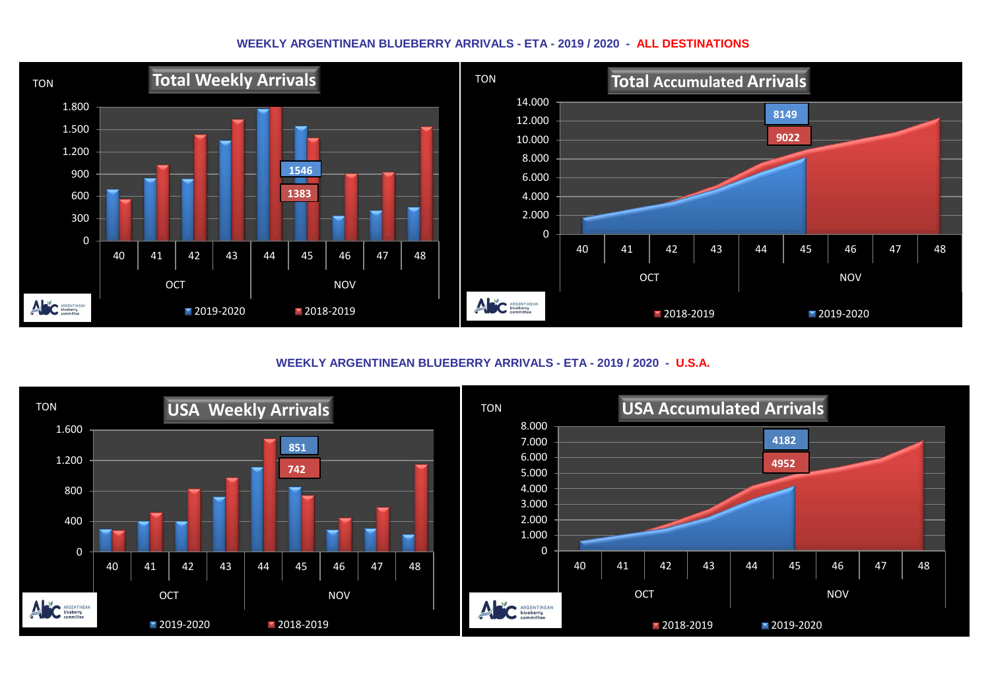## **WEEKLY ARGENTINEAN BLUEBERRY ARRIVALS - ETA - 2019 / 2020 - ALL DESTINATIONS**



**WEEKLY ARGENTINEAN BLUEBERRY ARRIVALS - ETA - 2019 / 2020 - U.S.A.**

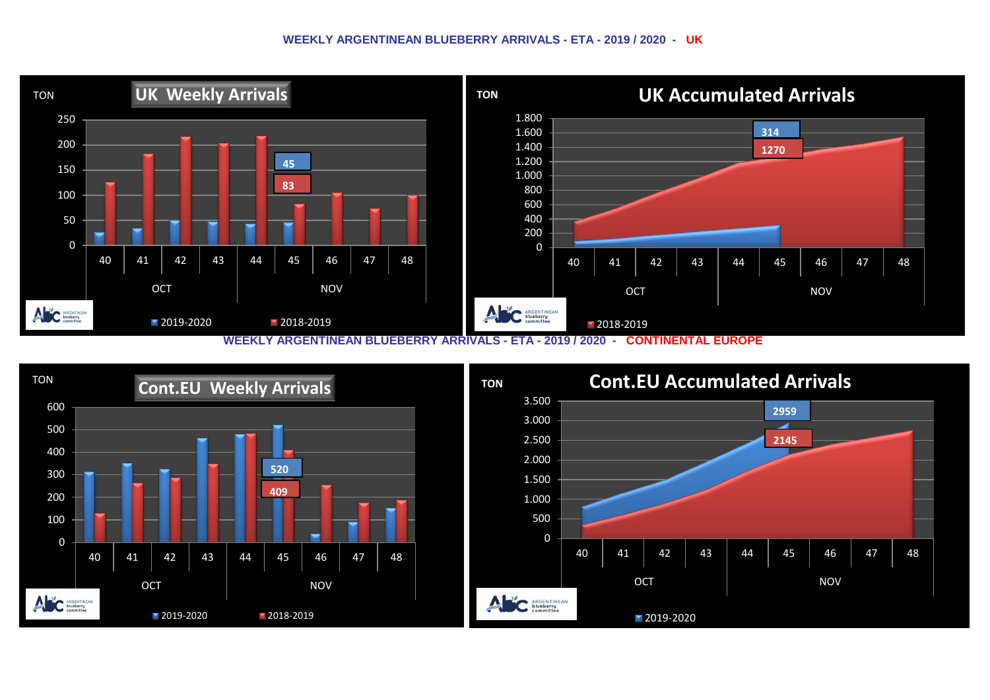## **WEEKLY ARGENTINEAN BLUEBERRY ARRIVALS - ETA - 2019 / 2020 - UK**



**WEEKLY ARGENTINEAN BLUEBERRY ARRIVALS - ETA - 2019 / 2020 - CONTINENTAL EUROPE**